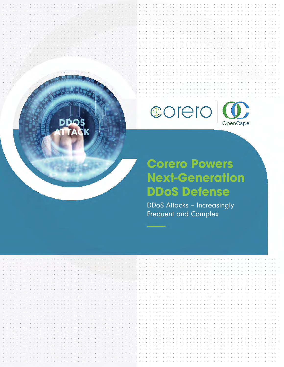

## **Corero Powers Next-Generation DDoS Defense**

**DDoS Attacks - Increasingly Frequent and Complex** 



**D**pc

TTACK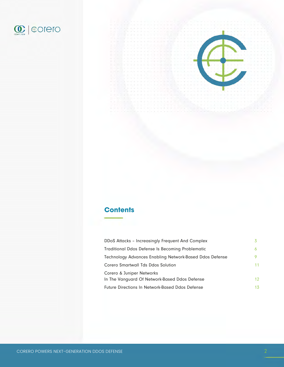



#### **Contents**

| DDoS Attacks - Increasingly Frequent And Complex                           |    |
|----------------------------------------------------------------------------|----|
| Traditional Ddos Defense Is Becoming Problematic                           |    |
| Technology Advances Enabling Network-Based Ddos Defense                    |    |
| Corero Smartwall Tds Ddos Solution                                         | 11 |
| Corero & Juniper Networks<br>In The Vanguard Of Network-Based Ddos Defense | 12 |
| <b>Future Directions In Network-Based Ddos Defense</b>                     | 13 |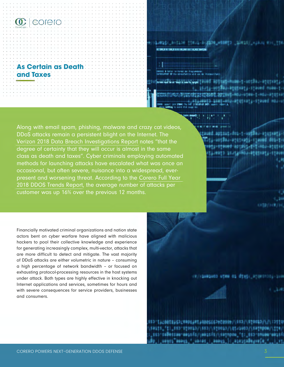



avatotnativetavad mosvo

1801901-072003-07014 **MOJI-DEGESIDELI** 

@11U1-001-1-W0530J-0101H073 11-001303-01010365-110000-005-1

Along with email spam, phishing, malware and crazy cat videos, DDoS attacks remain a persistent blight on the Internet. The Verizon 2018 Data Breach Investigations Report notes "that the degree of certainty that they will occur is almost in the same class as death and taxes". Cyber criminals employing automated methods for launching attacks have escalated what was once an occasional, but often severe, nuisance into a widespread, everpresent and worsening threat. According to the Corero Full Year 2018 DDOS Trends Report, the average number of attacks per customer was up 16% over the previous 12 months.

Financially motivated criminal organizations and nation state actors bent on cyber warfare have aligned with malicious hackers to pool their collective knowledge and experience for generating increasingly complex, multi-vector, attacks that are more difficult to detect and mitigate. The vast majority of DDoS attacks are either volumetric in nature – consuming a high percentage of network bandwidth – or focused on exhausting protocol-processing resources in the host systems under attack. Both types are highly effective in knocking out Internet applications and services, sometimes for hours and with severe consequences for service providers, businesses and consumers.

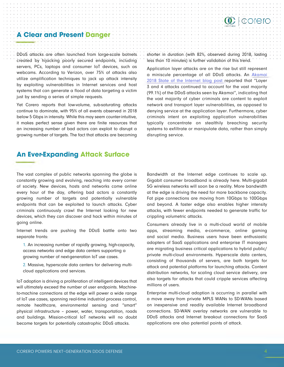#### A Clear and Present Danger **Electer State Clear A** Clear State Clear A Clear and Present Danger **Electer State Clear** • • ' •• ♦ • • • ♦ ' ••• ' • ' • • • ••••••••••••••••••• . -.. -.-.:·:·::::::·::::::·::·:·::·:·:· . . . . . . . . . . . . . . . . . . . . . . . . . . . . . . . . . . . . . . . . . . . ' . ' . . . . . . . . . . . • • I • ♦ • **o** ♦ • ♦ I ♦ • ♦ •

DDoS attacks are often launched from large-scale botnets - ...... - ........ - .... - ... - .... - . . - . created by hijacking poorly secured endpoints, including servers, PCs, laptops and consumer IoT devices, such as webcams. According to Verizon, over 75% of attacks also utilize amplification techniques to jack up attack intensity by exploiting vulnerabilities in Internet services and host systems that can generate a flood of data targeting a victim just by sending a series of simple requests.

Yet Corero reports that low-volume, sub-saturating attacks continue to dominate, with 95% of all events observed in 2018 below 5 Gbps in intensity. While this may seem counter-intuitive, it makes perfect sense given there are finite resources that an increasing number of bad actors can exploit to disrupt a growing number of targets. The fact that attacks are becoming

shorter in duration (with 82%, observed during 2018, lasting . . . ............ . . .................. . • ♦ I • ' ♦ • • ♦ • ♦ I ♦ • • • less than 10 minutes) is further validation of this trend.  $\sim$  . Shorter in Qurduon (while 62%, 0)

. . . ' ....... . • • • • • • • • . • • • . . • • . . . . . . . . . • • • • • • • • • • • • • • • • • • • • • • • • • • • • : • : • : : • · : : : : · : : : : · : : : : · · · · **(fl) f (l;Orero** ·

: : ~ •::::, ~ ~ ~:::::::: ~::::::::::::::: ! : : : •.::: ~:: ~: ~': ~::: ! : : : : ~: -~C~ea.::::::: •.:::

•• ♦ • • • ♦ ' ♦ •

Application layer attacks are on the rise but still represent a miniscule percentage of all DDoS attacks. An [Akamai](https://blogs.akamai.com/2018/06/summer-soti---ddos-by-the-numbers.html) [2018 State of the Internet blog post](https://blogs.akamai.com/2018/06/summer-soti---ddos-by-the-numbers.html) reported that "Layer 3 and 4 attacks continued to account for the vast majority (99.1%) of the DDoS attacks seen by Akamai", indicating that the vast majority of cyber criminals are content to exploit network and transport layer vulnerabilities, as opposed to denying service at the application layer. Furthermore, cyber criminals intent on exploiting application vulnerabilities typically concentrate on stealthily breaching security systems to exfiltrate or manipulate data, rather than simply disrupting service.

#### **An Ever-Expanding Attack Surface**

The vast complex of public networks spanning the globe is constantly growing and evolving, reaching into every corner of society. New devices, hosts and networks come online every hour of the day, offering bad actors a constantly growing number of targets and potentially vulnerable endpoints that can be exploited to launch attacks. Cyber criminals continuously crawl the Internet looking for new devices, which they can discover and hack within minutes of going online.

Internet trends are pushing the DDoS battle onto two separate fronts:

1. An increasing number of rapidly growing, high-capacity, access networks and edge data centers supporting a growing number of next-generation IoT use cases.

2. Massive, hyperscale data centers for delivering multicloud applications and services.

IoT adoption is driving a proliferation of intelligent devices that will ultimately exceed the number of user endpoints. Machineto-machine connections at the edge will power a wide range of IoT use cases, spanning real-time industrial process control, remote healthcare, environmental sensing and "smart" physical infrastructure – power, water, transportation, roads and buildings. Mission-critical IoT networks will no doubt become targets for potentially catastrophic DDoS attacks.

Bandwidth at the Internet edge continues to scale up. Gigabit consumer broadband is already here. Multi-gigabit 5G wireless networks will soon be a reality. More bandwidth at the edge is driving the need for more backbone capacity. Fat pipe connections are moving from 10Gbps to 100Gbps and beyond. A faster edge also enables higher intensity attacks, with fewer endpoints needed to generate traffic for crippling volumetric attacks.

Consumers already live in a multi-cloud world of mobile apps, streaming media, e-commerce, online gaming and social media. Business users have been enthusiastic adopters of SaaS applications and enterprise IT managers are migrating business critical applications to hybrid public/ private multi-cloud environments. Hyperscale data centers, consisting of thousands of servers, are both targets for attack and potential platforms for launching attacks. Content distribution networks, for scaling cloud service delivery, are also targets for attacks that could cripple services affecting millions of users.

Enterprise multi-cloud adoption is occurring in parallel with a move away from private MPLS WANs to SD-WANs based on inexpensive and readily available Internet broadband connections. SD-WAN overlay networks are vulnerable to DDoS attacks and Internet breakout connections for SaaS applications are also potential points of attack.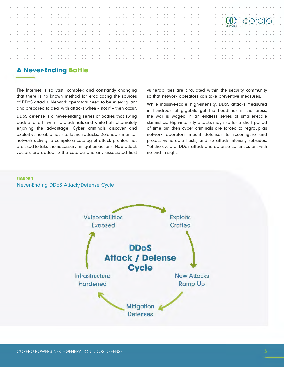

#### **A Never-Ending Battle**

The Internet is so vast, complex and constantly changing that there is no known method for eradicating the sources of DDoS attacks. Network operators need to be ever-vigilant and prepared to deal with attacks when – not if – then occur.

DDoS defense is a never-ending series of battles that swing back and forth with the black hats and white hats alternately enjoying the advantage. Cyber criminals discover and exploit vulnerable hosts to launch attacks. Defenders monitor network activity to compile a catalog of attack profiles that are used to take the necessary mitigation actions. New attack vectors are added to the catalog and any associated host vulnerabilities are circulated within the security community so that network operators can take preventive measures.

While massive-scale, high-intensity, DDoS attacks measured in hundreds of gigabits get the headlines in the press, the war is waged in an endless series of smaller-scale skirmishes. High-intensity attacks may rise for a short period of time but then cyber criminals are forced to regroup as network operators mount defenses to reconfigure and protect vulnerable hosts, and so attack intensity subsides. Yet the cycle of DDoS attack and defense continues on, with no end in sight.

#### **FIGURE 1**

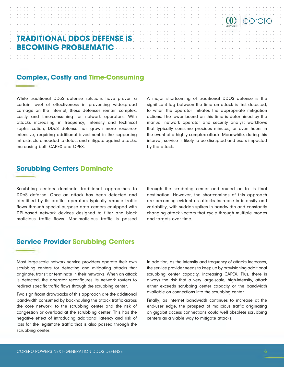#### **TRADITIONAL DDOS DEFENSE IS BECOMING PROBLEMATIC**

#### **Complex, Costly and Time-Consuming**

••••••• ' ♦ ••• ♦ ' •• ♦ • • • ♦ • ♦ ••• ' ♦ ••• ♦ ' •••••••••••

While traditional DDoS defense solutions have proven a certain level of effectiveness in preventing widespread carnage on the Internet, these defenses remain complex, costly and time-consuming for network operators. With attacks increasing in frequency, intensity and technical sophistication, DDoS defense has grown more resourceintensive, requiring additional investment in the supporting infrastructure needed to detect and mitigate against attacks, increasing both CAPEX and OPEX.

A major shortcoming of traditional DDOS defense is the significant lag between the time an attack is first detected, to when the operator initiates the appropriate mitigation actions. The lower bound on this time is determined by the manual network operator and security analyst workflows that typically consume precious minutes, or even hours in the event of a highly complex attack. Meanwhile, during this interval, service is likely to be disrupted and users impacted by the attack.

. . . . . . . . . . . . . .. . . . . . . . . . . . . ...... .

corero

. . . ............ . . .................. .

#### **Scrubbing Centers Dominate**

Scrubbing centers dominate traditional approaches to DDoS defense. Once an attack has been detected and identified by its profile, operators typically reroute traffic flows through special-purpose data centers equipped with DPI-based network devices designed to filter and block malicious traffic flows. Mon-malicious traffic is passed through the scrubbing center and routed on to its final destination. However, the shortcomings of this approach are becoming evident as attacks increase in intensity and variability, with sudden spikes in bandwidth and constantly changing attack vectors that cycle through multiple modes and targets over time.

#### **Service Provider Scrubbing Centers**

Most large-scale network service providers operate their own scrubbing centers for detecting and mitigating attacks that originate, transit or terminate in their networks. When an attack is detected, the operator reconfigures its network routers to redirect specific traffic flows through the scrubbing center.

Two significant drawbacks of this approach are the additional bandwidth consumed by backhauling the attack traffic across the core network, to the scrubbing center and the risk of congestion or overload at the scrubbing center. This has the negative effect of introducing additional latency and risk of loss for the legitimate traffic that is also passed through the scrubbing center.

In addition, as the intensity and frequency of attacks increases, the service provider needs to keep up by provisioning additional scrubbing center capacity, increasing CAPEX. Plus, there is always the risk that a very large-scale, high-intensity, attack either exceeds scrubbing center capacity or the bandwidth available on connections into the scrubbing center.

Finally, as Internet bandwidth continues to increase at the end-user edge, the prospect of malicious traffic originating on gigabit access connections could well obsolete scrubbing centers as a viable way to mitigate attacks.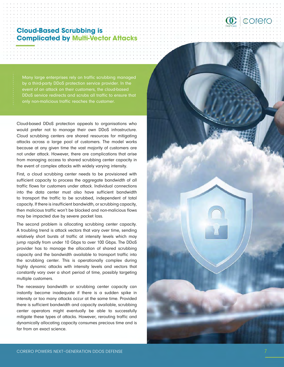## **Cloud-Based Scrubbing is**

Many large enterprises rely on traffic scrubbing managed by a third-party DDoS protection service provider. In the event of an attack on their customers, the cloud-based DDoS service redirects and scrubs all traffic to ensure that only non-malicious traffic reaches the customer.

Cloud-based DDoS protection appeals to organisations who would prefer not to manage their own DDoS infrastructure. Cloud scrubbing centers are shared resources for mitigating attacks across a large pool of customers. The model works because at any given time the vast majority of customers are not under attack. However, there are complications that arise from managing access to shared scrubbing center capacity in the event of complex attacks with widely varying intensity.

First, a cloud scrubbing center needs to be provisioned with sufficient capacity to process the aggregate bandwidth of all traffic flows for customers under attack. Individual connections into the data center must also have sufficient bandwidth to transport the traffic to be scrubbed, independent of total capacity. If there is insufficient bandwidth, or scrubbing capacity, then malicious traffic won't be blocked and non-malicious flows may be impacted due by severe packet loss.

The second problem is allocating scrubbing center capacity. A troubling trend is attack vectors that vary over time, sending relatively short bursts of traffic at intensity levels which may jump rapidly from under 10 Gbps to over 100 Gbps. The DDoS provider has to manage the allocation of shared scrubbing capacity and the bandwidth available to transport traffic into the scrubbing center. This is operationally complex during highly dynamic attacks with intensity levels and vectors that constantly vary over a short period of time, possibly targeting multiple customers.

The necessary bandwidth or scrubbing center capacity can instantly become inadequate if there is a sudden spike in intensity or too many attacks occur at the same time. Provided there is sufficient bandwidth and capacity available, scrubbing center operators might eventually be able to successfully mitigate these types of attacks. However, rerouting traffic and dynamically allocating capacity consumes precious time and is far from an exact science.



 $\textcircled{c}$  eorero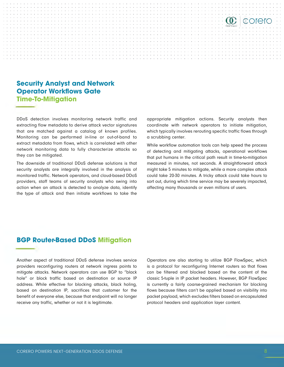

#### **Security Analyst and Network Operator Workflows Gate Time-To-Mitigation**

DDoS detection involves monitoring network traffic and extracting flow metadata to derive attack vector signatures that are matched against a catalog of known profiles. Monitoring can be performed in-line or out-of-band to extract metadata from flows, which is correlated with other network monitoring data to fully characterize attacks so they can be mitigated.

The downside of traditional DDoS defense solutions is that security analysts are integrally involved in the analysis of monitored traffic. Network operators, and cloud-based DDoS providers, staff teams of security analysts who swing into action when an attack is detected to analyze data, identify the type of attack and then initiate workflows to take the appropriate mitigation actions. Security analysts then coordinate with network operators to initiate mitigation, which typically involves rerouting specific traffic flows through a scrubbing center.

While workflow automation tools can help speed the process of detecting and mitigating attacks, operational workflows that put humans in the critical path result in time-to-mitigation measured in minutes, not seconds. A straightforward attack might take 5 minutes to mitigate, while a more complex attack could take 20-30 minutes. A tricky attack could take hours to sort out, during which time service may be severely impacted, affecting many thousands or even millions of users.

#### **BGP Router-Based DDoS Mitigation**

Another aspect of traditional DDoS defense involves service providers reconfiguring routers at network ingress points to mitigate attacks. Network operators can use BGP to "black hole" or block traffic based on destination or source IP address. While effective for blocking attacks, black holing, based on destination IP, sacrifices that customer for the benefit of everyone else, because that endpoint will no longer receive any traffic, whether or not it is legitimate.

Operators are also starting to utilize BGP FlowSpec, which is a protocol for reconfiguring Internet routers so that flows can be filtered and blocked based on the content of the classic 5-tuple in IP packet headers. However, BGP FlowSpec is currently a fairly coarse-grained mechanism for blocking flows because filters can't be applied based on visibility into packet payload, which excludes filters based on encapsulated protocol headers and application layer content.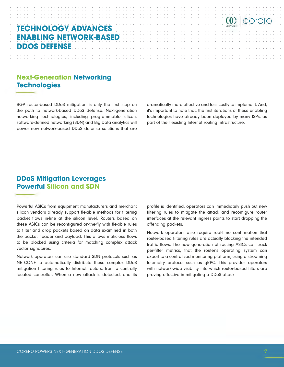### **TECHNOLOGY ADVANCES ENABLING NETWORK-BASED DDOS DEFENSE**

••••••• ' ♦ ••• ♦ ' •• ♦ • • • ♦ • ♦ ••• ' ♦ ••• ♦ ' •••••••••••

#### **Next-Generation Networking Technologies**

BGP router-based DDoS mitigation is only the first step on the path to network-based DDoS defense. Next-generation networking technologies, including programmable silicon, software-defined networking (SDN) and Big Data analytics will power new network-based DDoS defense solutions that are

dramatically more effective and less costly to implement. And, it's important to note that, the first iterations of these enabling technologies have already been deployed by many ISPs, as part of their existing Internet routing infrastructure.

. . . ............ . . .................. .

. . . . . . . . . . . . . .. . . . . . . . . . . . . ...... .

corero

#### **DDoS Mitigation Leverages Powerful Silicon and SDN**

Powerful ASICs from equipment manufacturers and merchant silicon vendors already support flexible methods for filtering packet flows in-line at the silicon level. Routers based on these ASICs can be reconfigured on-the-fly with flexible rules to filter and drop packets based on data examined in both the packet header and payload. This allows malicious flows to be blocked using criteria for matching complex attack vector signatures.

Network operators can use standard SDN protocols such as NETCONF to automatically distribute these complex DDoS mitigation filtering rules to Internet routers, from a centrally located controller. When a new attack is detected, and its

profile is identified, operators can immediately push out new filtering rules to mitigate the attack and reconfigure router interfaces at the relevant ingress points to start dropping the offending packets.

Network operators also require real-time confirmation that router-based filtering rules are actually blocking the intended traffic flows. The new generation of routing ASICs can track per-filter metrics, that the router's operating system can export to a centralized monitoring platform, using a streaming telemetry protocol such as gRPC. This provides operators with network-wide visibility into which router-based filters are proving effective in mitigating a DDoS attack.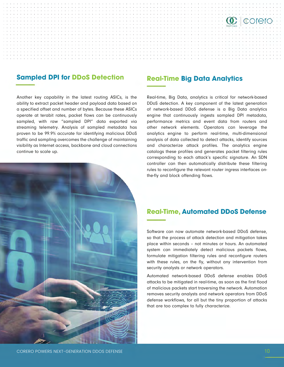#### **Sampled DPI for DDoS Detection Real-Time Big Data Analytics**

0 • ♦ I ♦ 0 • • • • • ♦ P • 0 I I O • 0 , • ♦ J ♦ • • • ♦ I ♦ 0 • 0 • • • 0 • 0 • , • • • < ♦ ♦ • 0 • ♦ I • 0 0 t

Another key capability in the latest routing ASICs, is the ability to extract packet header and payload data based on a specified offset and number of bytes. Because these ASICs operate at terabit rates, packet flows can be continuously sampled, with raw "sampled DPI" data exported via streaming telemetry. Analysis of sampled metadata has proven to be 99.9% accurate for identifying malicious DDoS traffic and sampling overcomes the challenge of maintaining visibility as Internet access, backbone and cloud connections continue to scale up.



Real-time, Big Data, analytics is critical for network-based DDoS detection. A key component of the latest generation of network-based DDoS defense is a Big Data analytics engine that continuously ingests sampled DPI metadata, performance metrics and event data from routers and other network elements. Operators can leverage the analytics engine to perform real-time, multi-dimensional analysis of data collected to detect attacks, identify sources and characterize attack profiles. The analytics engine catalogs these profiles and generates packet filtering rules corresponding to each attack's specific signature. An SDN controller can then automatically distribute these filtering rules to reconfigure the relevant router ingress interfaces onthe-fly and block offending flows.

 $\mathbf C$  corero

#### **Real-Time, Automated DDoS Defense**

Software can now automate network-based DDoS defense, so that the process of attack detection and mitigation takes place within seconds – not minutes or hours. An automated system can immediately detect malicious packets flows, formulate mitigation filtering rules and reconfigure routers with these rules, on the fly, without any intervention from security analysts or network operators.

Automated network-based DDoS defense enables DDoS attacks to be mitigated in real-time, as soon as the first flood of malicious packets start traversing the network. Automation removes security analysts and network operators from DDoS defense workflows, for all but the tiny proportion of attacks that are too complex to fully characterize.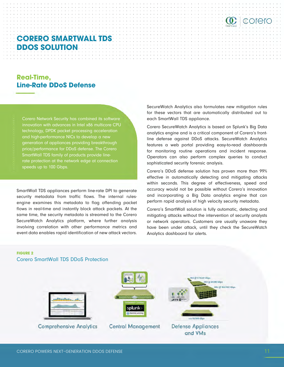#### **CORERO SMARTWALL TDS DDOS SOLUTION**

#### **Real-Time, Line-Rate DDoS Defense**

Corero Network Security has combined its software innovation with advances in Intel x86 multicore CPU technology, DPDK packet processing acceleration and high-performance NICs to develop a new generation of appliances providing breakthrough price/performance for DDoS defense. The Corero SmartWall TDS family of products provide linerate protection at the network edge at connection speeds up to 100 Gbps.

SmartWall TDS appliances perform line-rate DPI to generate security metadata from traffic flows. The internal rulesengine examines this metadata to flag offending packet flows in real-time and instantly block attack packets. At the same time, the security metadata is streamed to the Corero SecureWatch Analytics platform, where further analysis involving correlation with other performance metrics and event data enables rapid identification of new attack vectors. SecureWatch Analytics also formulates new mitigation rules for these vectors that are automatically distributed out to each SmartWall TDS appliance.

corero

Corero SecureWatch Analytics is based on Splunk's Big Data analytics engine and is a critical component of Corero's frontline defense against DDoS attacks. SecureWatch Analytics features a web portal providing easy-to-read dashboards for monitoring routine operations and incident response. Operators can also perform complex queries to conduct sophisticated security forensic analysis.

Corero's DDoS defense solution has proven more than 99% effective in automatically detecting and mitigating attacks within seconds. This degree of effectiveness, speed and accuracy would not be possible without Corero's innovation and incorporating a Big Data analytics engine that can perform rapid analysis of high velocity security metadata.

Corero's SmartWall solution is fully automatic, detecting and mitigating attacks without the intervention of security analysts or network operators. Customers are usually unaware they have been under attack, until they check the SecureWatch Analytics dashboard for alerts.

#### **FIGURE 2** Corero SmartWall TDS DDoS Protection

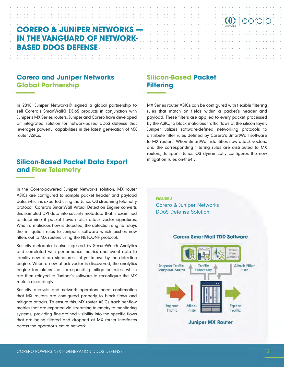#### **CORERO & JUNIPER NETWORKS — IN THE VANGUARD OF NETWORK-BASED DDOS DEFENSE**

#### **Corero and Juniper Networks Global Partnership**

In 2018, Juniper Networks® signed a global partnership to sell Corero's SmartWall® DDoS products in conjunction with Juniper's MX Series routers. Juniper and Corero have developed an integrated solution for network-based DDoS defense that leverages powerful capabilities in the latest generation of MX router ASICs.

#### **Silicon-Based Packet Data Export and Flow Telemetry**

In the Corero-powered Juniper Networks solution, MX router ASICs are configured to sample packet header and payload data, which is exported using the Junos OS streaming telemetry protocol. Corero's SmartWall Virtual Detection Engine converts this sampled DPI data into security metadata that is examined to determine if packet flows match attack vector signatures. When a malicious flow is detected, the detection engine relays the mitigation rules to Juniper's software which pushes new filters out to MX routers using the NETCONF protocol.

Security metadata is also ingested by SecureWatch Analytics and correlated with performance metrics and event data to identify new attack signatures not yet known by the detection engine. When a new attack vector is discovered, the analytics engine formulates the corresponding mitigation rules, which are then relayed to Juniper's software to reconfigure the MX routers accordingly.

Security analysts and network operators need confirmation that MX routers are configured properly to block flows and mitigate attacks. To ensure this, MX router ASICs track per-flow metrics that are exported via streaming telemetry to monitoring systems, providing fine-grained visibility into the specific flows that are being filtered and dropped at MX router interfaces across the operator's entire network.

#### **Silicon-Based Packet Filtering**

MX Series router ASICs can be configured with flexible filtering rules that match on fields within a packet's header and payload. These filters are applied to every packet processed by the ASIC, to block malicious traffic flows at the silicon layer. Juniper utilizes software-defined networking protocols to distribute filter rules defined by Corero's SmartWall software to MX routers. When SmartWall identifies new attack vectors, and the corresponding filtering rules are distributed to MX routers, Juniper's Junos OS dynamically configures the new mitigation rules on-the-fly.

 $\left| \mathbb{G}\right|$  corero

**FIGURE 3** Corero & Juniper Networks DDoS Defense Solution

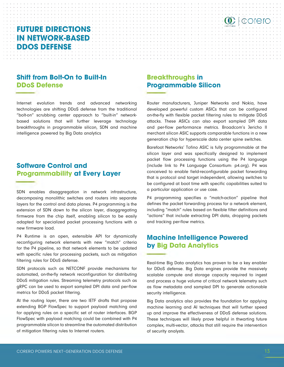#### **FUTURE DIRECTIONS** : : ~ •::::, ~ ~ ~:::::::: ~::::::::::::::: ! : : : •.::: ~:: ~: ~': ~::: ! : : : : ~: -~C~ea.::::::: •.::: **IN NETWORK-BASED** • • ' •• ♦ • • • ♦ ' ••• ' • ' • • • • • • • • • • • • • • • • • • • • • • • • • • • • • •••••••••••• . . .. . ' .............................. . **DDOS DEFENSE** . . . . . . . . . . . . . . . . . . . . . . . . . . . . . . . . . . . . . . . . . . . ' . ' . . . . . . . . . . . • • I • ♦ • **o** ♦ • ♦ I ♦ • ♦ • ••••• ' • • • • • • • • • - . - . - ......... - . . . - - . . . - . - . - ...... - . • • • • • • • • • • • • • • • • • • • • • • • • • • • • • • • • • ♦ **o** ' ♦ **o** ♦ • ♦ I ♦ • • **0** ♦ • ♦ **0** ♦ • • • ♦ • • • • ' • **<sup>0</sup>**

#### **Shift from Bolt-On to Built-In DDoS Defense**

Internet evolution trends and advanced networking technologies are shifting DDoS defense from the traditional "bolt-on" scrubbing center approach to "built-in" networkbased solutions that will further leverage technology breakthroughs in programmable silicon, SDN and machine intelligence powered by Big Data analytics

- ...... - ........ - .... - ... - .... - . . - .

#### **Software Control and Programmability at Every Layer**

SDN enables disaggregation in network infrastructure, decomposing monolithic switches and routers into separate layers for the control and data planes. P4 programming is the extension of SDN down to the silicon layer, disaggregating firmware from the chip itself, enabling silicon to be easily adapted for specialized packet processing functions with a new firmware load.

P4 Runtime is an open, extensible API for dynamically reconfiguring network elements with new "match" criteria for the P4 pipeline, so that network elements to be updated with specific rules for processing packets, such as mitigation filtering rules for DDoS defense.

SDN protocols such as NETCONF provide mechanisms for automated, on-the-fly network reconfiguration for distributing DDoS mitigation rules. Streaming telemetry protocols such as gRPC can be used to export sampled DPI data and per-flow metrics for DDoS packet filtering.

At the routing layer, there are two IETF drafts that propose extending BGP FlowSpec to support payload matching and for applying rules on a specific set of router interfaces. BGP FlowSpec with payload matching could be combined with P4 programmable silicon to streamline the automated distribution of mitigation filtering rules to Internet routers.

#### **Breakthroughs in Programmable Silicon**

. . . ............ . . .................. . • ♦ I • ' ♦ • • ♦ • ♦ I ♦ • • • - ... - .... - .... - . . . .

. . . ' ....... . • • • • • • • • . • • • . . • • . . . . . . . . . • • • • • • • • • • • • • • • • • • • • • • • • • • • • : • : • : : • · : : : : · : : : : · : : : : · · · · **(fl) f (l;Orero** ·

I ♦ • ♦ **o** • • ♦ I ♦ • ♦ **0** '

Router manufacturers, Juniper Networks and Nokia, have developed powerful custom ASICs that can be configured on-the-fly with flexible packet filtering rules to mitigate DDoS attacks. These ASICs can also export sampled DPI data and per-flow performance metrics. Broadcom's Jericho II merchant silicon ASIC supports comparable functions in a new generation chip for hyperscale data center spine switches.

•• ♦ • • • ♦ ' ♦ •

Barefoot Networks' Tofino ASIC is fully programmable at the silicon layer and was specifically designed to implement packet flow processing functions using the P4 language (include link to P4 Language Consortium: p4.org). P4 was conceived to enable field-reconfigurable packet forwarding that is protocol and target independent, allowing switches to be configured at boot time with specific capabilities suited to a particular application or use case.

P4 programming specifies a "match-action" pipeline that defines the packet forwarding process for a network element, including "match" rules based on flexible filter definitions and "actions" that include extracting DPI data, dropping packets and tracking per-flow metrics.

#### **Machine Intelligence Powered by Big Data Analytics**

Real-time Big Data analytics has proven to be a key enabler for DDoS defense. Big Data engines provide the massively scalable compute and storage capacity required to ingest and process a huge volume of critical network telemetry such as flow metadata and sampled DPI to generate actionable security intelligence.

Big Data analytics also provides the foundation for applying machine learning and AI techniques that will further speed up and improve the effectiveness of DDoS defense solutions. These techniques will likely prove helpful in thwarting future complex, multi-vector, attacks that still require the intervention of security analysts.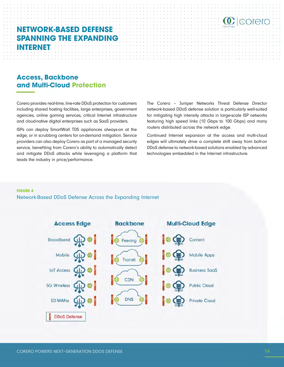### **NETWORK-BASED DEFENSE SPANNING THE EXPANDING INTERNET**

#### **Access, Backbone** and Multi-Cloud Protection

Corero provides real-time, line-rate DDoS protection for customers including shared hosting facilities, large enterprises, government agencies, online gaming services, critical Internet infrastructure and cloud-native digital enterprises such as SaaS providers.

ISPs can deploy SmartWall TDS appliances always-on at the edge, or in scrubbing centers for on-demand mitigation. Service providers can also deploy Corero as part of a managed security service, benefiting from Corero's ability to automatically detect and mitigate DDoS attacks while leveraging a platform that leads the industry in price/performance.

The Corero - Juniper Networks Threat Defense Director network-based DDoS defense solution is particularly well-suited for mitigating high intensity attacks in large-scale ISP networks featuring high speed links (10 Gbps to 100 Gbps) and many routers distributed across the network edge.

 $\mathbf C$  eorero

Continued Internet expansion at the access and multi-cloud edges will ultimately drive a complete shift away from bolt-on DDoS defense to network-based solutions enabled by advanced technologies embedded in the Internet infrastructure.

#### **FIGURE 4**

Network-Based DDoS Defense Across the Expanding Internet